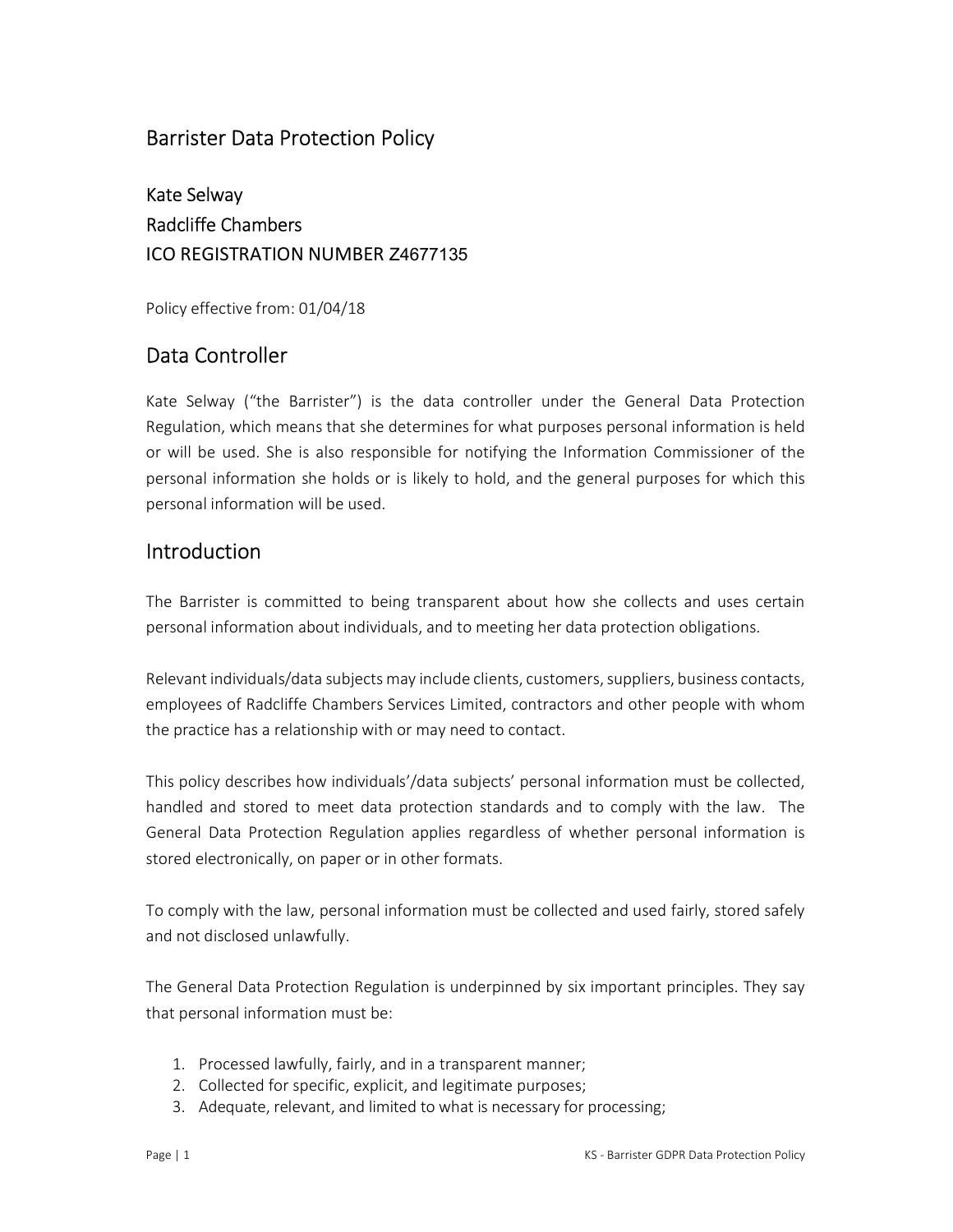## Barrister Data Protection Policy

Kate Selway Radcliffe Chambers ICO REGISTRATION NUMBER Z4677135

Policy effective from: 01/04/18

# Data Controller

Kate Selway ("the Barrister") is the data controller under the General Data Protection Regulation, which means that she determines for what purposes personal information is held or will be used. She is also responsible for notifying the Information Commissioner of the personal information she holds or is likely to hold, and the general purposes for which this personal information will be used.

## Introduction

The Barrister is committed to being transparent about how she collects and uses certain personal information about individuals, and to meeting her data protection obligations.

Relevant individuals/data subjects may include clients, customers, suppliers, business contacts, employees of Radcliffe Chambers Services Limited, contractors and other people with whom the practice has a relationship with or may need to contact.

This policy describes how individuals'/data subjects' personal information must be collected, handled and stored to meet data protection standards and to comply with the law. The General Data Protection Regulation applies regardless of whether personal information is stored electronically, on paper or in other formats.

To comply with the law, personal information must be collected and used fairly, stored safely and not disclosed unlawfully.

The General Data Protection Regulation is underpinned by six important principles. They say that personal information must be:

- 1. Processed lawfully, fairly, and in a transparent manner;
- 2. Collected for specific, explicit, and legitimate purposes;
- 3. Adequate, relevant, and limited to what is necessary for processing;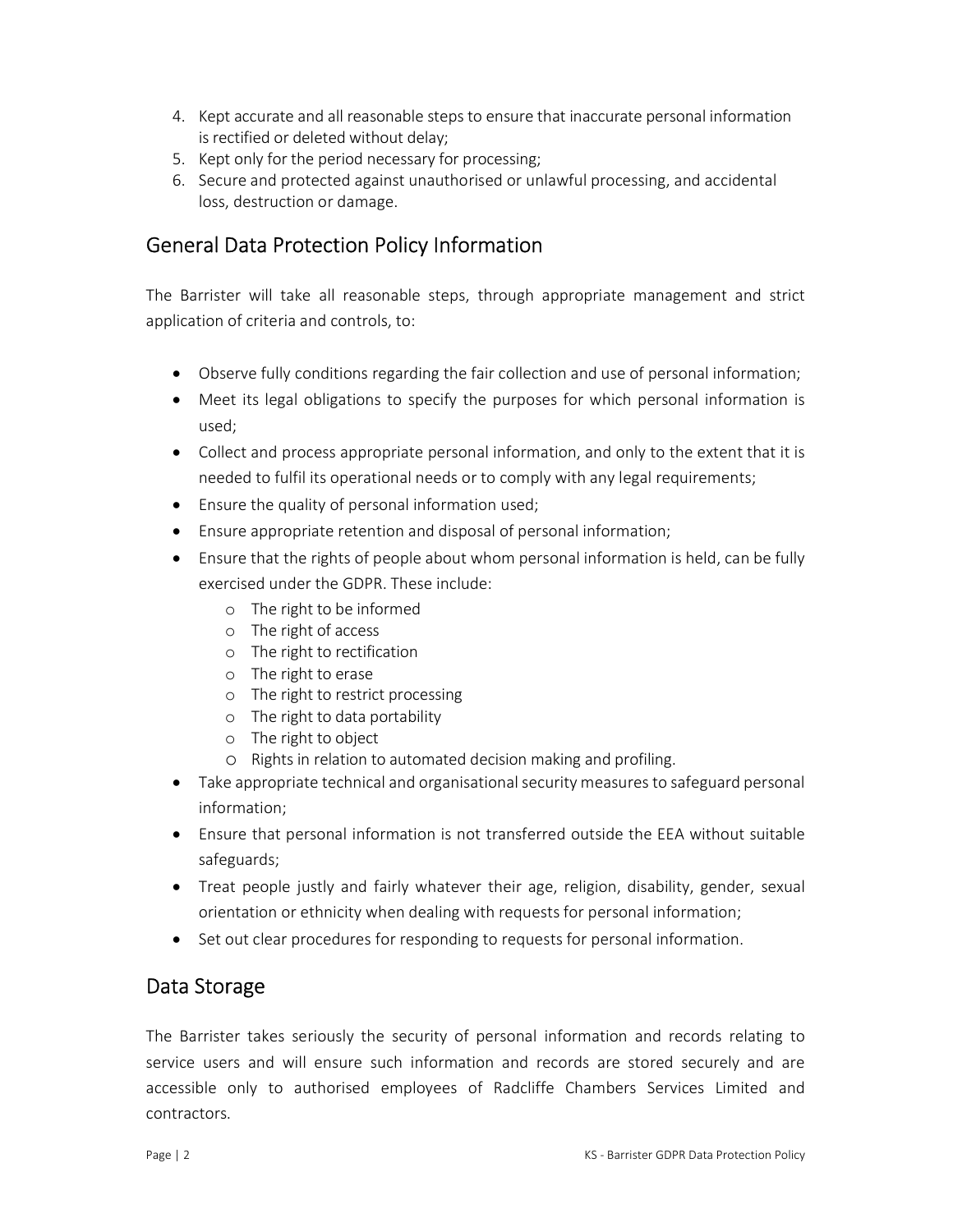- 4. Kept accurate and all reasonable steps to ensure that inaccurate personal information is rectified or deleted without delay;
- 5. Kept only for the period necessary for processing;
- 6. Secure and protected against unauthorised or unlawful processing, and accidental loss, destruction or damage.

## General Data Protection Policy Information

The Barrister will take all reasonable steps, through appropriate management and strict application of criteria and controls, to:

- Observe fully conditions regarding the fair collection and use of personal information;
- Meet its legal obligations to specify the purposes for which personal information is used;
- Collect and process appropriate personal information, and only to the extent that it is needed to fulfil its operational needs or to comply with any legal requirements;
- Ensure the quality of personal information used;
- Ensure appropriate retention and disposal of personal information;
- Ensure that the rights of people about whom personal information is held, can be fully exercised under the GDPR. These include:
	- o The right to be informed
	- o The right of access
	- o The right to rectification
	- o The right to erase
	- o The right to restrict processing
	- o The right to data portability
	- o The right to object
	- o Rights in relation to automated decision making and profiling.
- Take appropriate technical and organisational security measures to safeguard personal information;
- Ensure that personal information is not transferred outside the EEA without suitable safeguards;
- Treat people justly and fairly whatever their age, religion, disability, gender, sexual orientation or ethnicity when dealing with requests for personal information;
- Set out clear procedures for responding to requests for personal information.

#### Data Storage

The Barrister takes seriously the security of personal information and records relating to service users and will ensure such information and records are stored securely and are accessible only to authorised employees of Radcliffe Chambers Services Limited and contractors.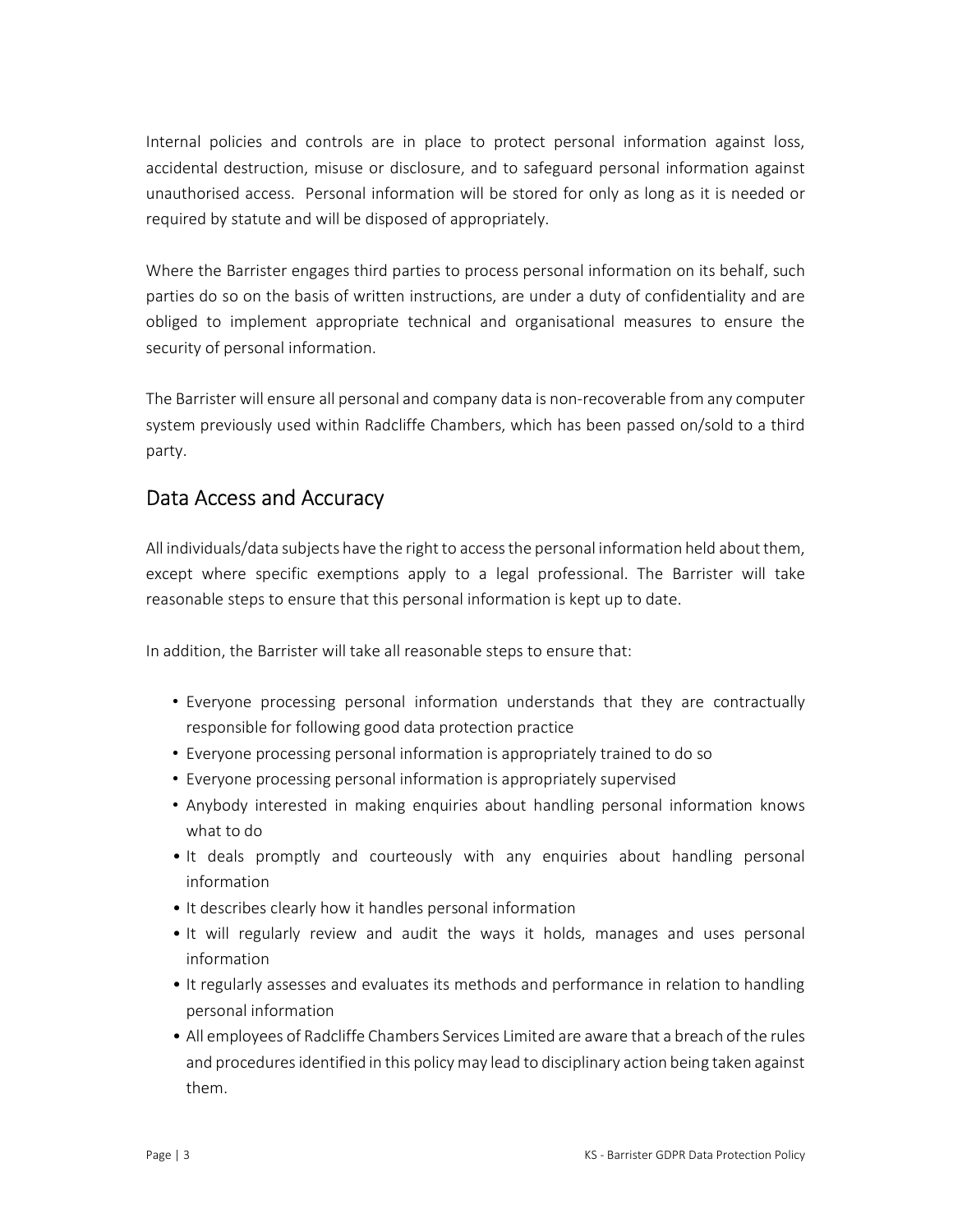Internal policies and controls are in place to protect personal information against loss, accidental destruction, misuse or disclosure, and to safeguard personal information against unauthorised access. Personal information will be stored for only as long as it is needed or required by statute and will be disposed of appropriately.

Where the Barrister engages third parties to process personal information on its behalf, such parties do so on the basis of written instructions, are under a duty of confidentiality and are obliged to implement appropriate technical and organisational measures to ensure the security of personal information.

The Barrister will ensure all personal and company data is non-recoverable from any computer system previously used within Radcliffe Chambers, which has been passed on/sold to a third party.

#### Data Access and Accuracy

All individuals/data subjects have the right to access the personal information held about them, except where specific exemptions apply to a legal professional. The Barrister will take reasonable steps to ensure that this personal information is kept up to date.

In addition, the Barrister will take all reasonable steps to ensure that:

- Everyone processing personal information understands that they are contractually responsible for following good data protection practice
- Everyone processing personal information is appropriately trained to do so
- Everyone processing personal information is appropriately supervised
- Anybody interested in making enquiries about handling personal information knows what to do
- It deals promptly and courteously with any enquiries about handling personal information
- It describes clearly how it handles personal information
- It will regularly review and audit the ways it holds, manages and uses personal information
- It regularly assesses and evaluates its methods and performance in relation to handling personal information
- All employees of Radcliffe Chambers Services Limited are aware that a breach of the rules and procedures identified in this policy may lead to disciplinary action being taken against them.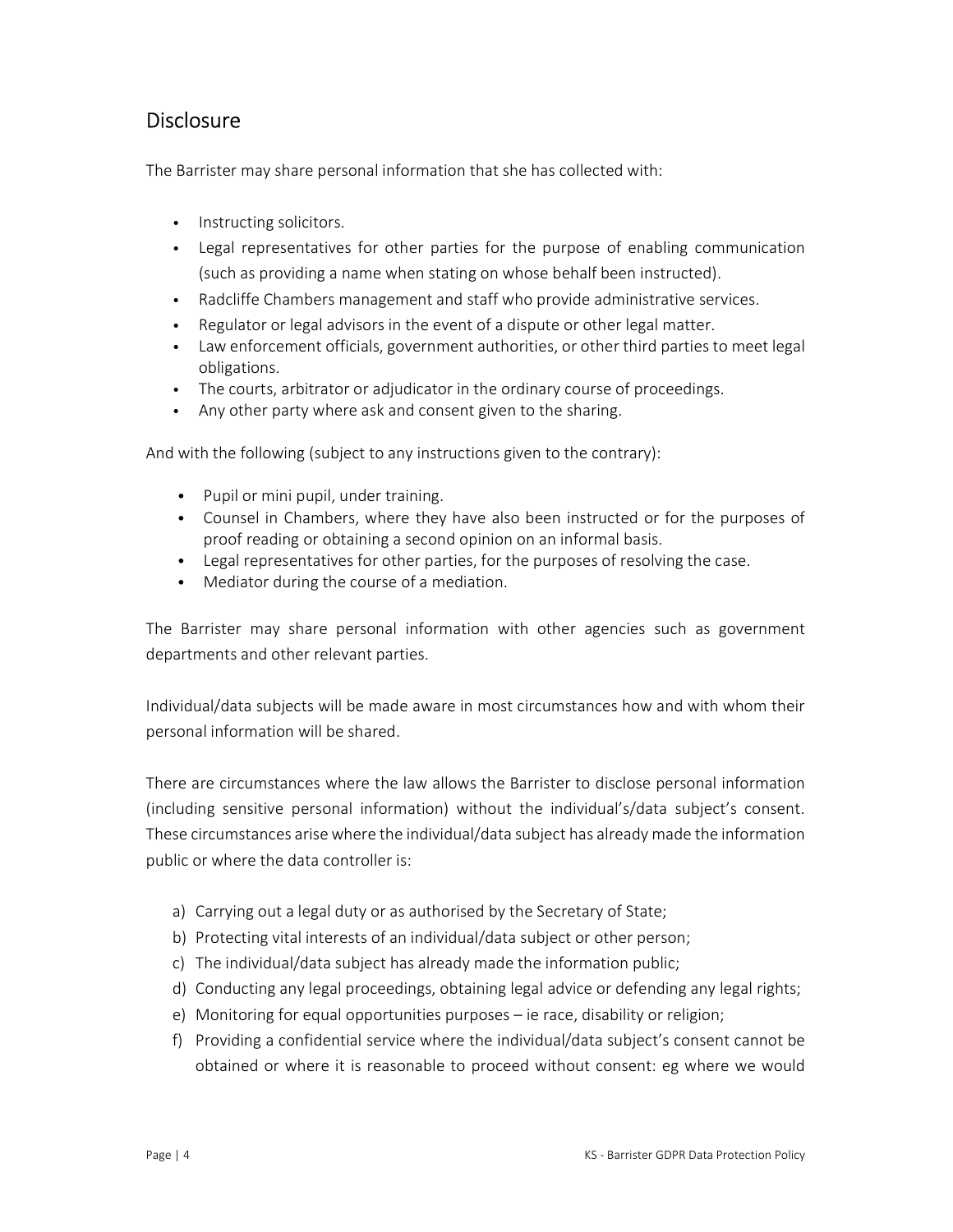### **Disclosure**

The Barrister may share personal information that she has collected with:

- Instructing solicitors.
- Legal representatives for other parties for the purpose of enabling communication (such as providing a name when stating on whose behalf been instructed).
- Radcliffe Chambers management and staff who provide administrative services.
- Regulator or legal advisors in the event of a dispute or other legal matter.
- Law enforcement officials, government authorities, or other third parties to meet legal obligations.
- The courts, arbitrator or adjudicator in the ordinary course of proceedings.
- Any other party where ask and consent given to the sharing.

And with the following (subject to any instructions given to the contrary):

- Pupil or mini pupil, under training.
- Counsel in Chambers, where they have also been instructed or for the purposes of proof reading or obtaining a second opinion on an informal basis.
- Legal representatives for other parties, for the purposes of resolving the case.
- Mediator during the course of a mediation.

The Barrister may share personal information with other agencies such as government departments and other relevant parties.

Individual/data subjects will be made aware in most circumstances how and with whom their personal information will be shared.

There are circumstances where the law allows the Barrister to disclose personal information (including sensitive personal information) without the individual's/data subject's consent. These circumstances arise where the individual/data subject has already made the information public or where the data controller is:

- a) Carrying out a legal duty or as authorised by the Secretary of State;
- b) Protecting vital interests of an individual/data subject or other person;
- c) The individual/data subject has already made the information public;
- d) Conducting any legal proceedings, obtaining legal advice or defending any legal rights;
- e) Monitoring for equal opportunities purposes ie race, disability or religion;
- f) Providing a confidential service where the individual/data subject's consent cannot be obtained or where it is reasonable to proceed without consent: eg where we would